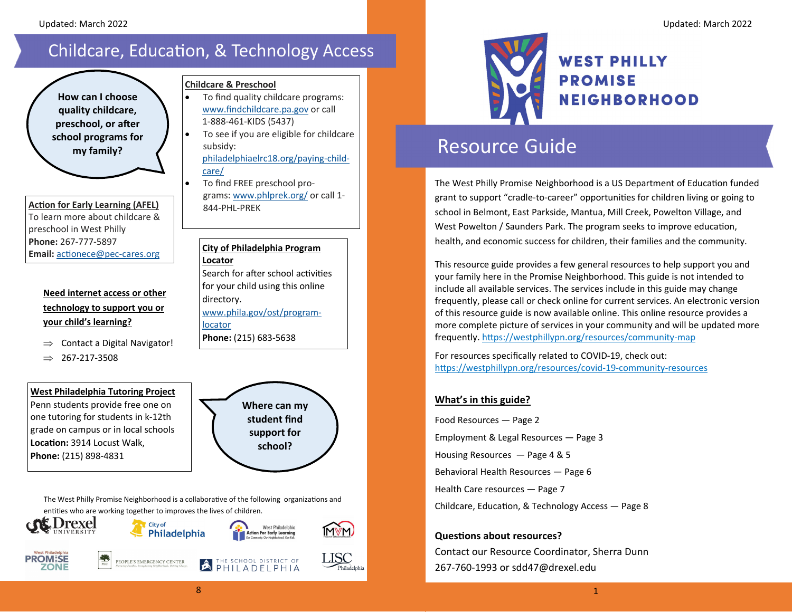## Childcare, Education, & Technology Access

 $\bullet$ 

### **How can I choose quality childcare, preschool, or after school programs for my family?**

#### **AcƟon for Early Learning (AFEL)**  To learn more about childcare &preschool in West Philly **Phone:** 267‐777‐5897**Email:** acƟonece@pec‐cares.org

### **Need internet access or other technology to support you or your child's learning?**

- $\Rightarrow$  Contact a Digital Navigator!
- 267‐217‐3508

### **West Philadelphia Tutoring Project**

Penn students provide free one on one tutoring for students in k‐12th grade on campus or in local schools **LocaƟon:** 3914 Locust Walk, **Phone:** (215) 898‐4831

### **Childcare & Preschool**

- . To find quality childcare programs: www.findchildcare.pa.gov or call 1‐888‐461‐KIDS (5437)
- $\bullet$  To see if you are eligible for childcare subsidy: philadelphiaelrc18.org/paying‐child‐

### care/

 To find FREE preschool pro‐ grams: www.phlprek.org/ or call 1‐ 844‐PHL‐PREK

#### **City of Philadelphia Program Locator**

Search for after school activities for your child using this online directory.

www.phila.gov/ost/program‐ locator**Phone:** (215) 683‐5638

> **Where can my student find support for school?**

> > LISC

The West Philly Promise Neighborhood is a collaborative of the following organizations and entities who are working together to improves the lives of children.





# Resource Guide

The West Philly Promise Neighborhood is a US Department of Education funded grant to support "cradle-to-career" opportunities for children living or going to school in Belmont, East Parkside, Mantua, Mill Creek, Powelton Village, and West Powelton / Saunders Park. The program seeks to improve education, health, and economic success for children, their families and the community.

This resource guide provides <sup>a</sup> few general resources to help support you and your family here in the Promise Neighborhood. This guide is not intended to include all available services. The services include in this guide may change frequently, please call or check online for current services. An electronic version of this resource guide is now available online. This online resource provides <sup>a</sup> more complete picture of services in your community and will be updated more frequently. https://westphillypn.org/resources/community-map

For resources specifically related to COVID‐19, check out: https://westphillypn.org/resources/covid-19-community-resources

### **What's in this guide?**

Food Resources — Page 2 Employment & Legal Resources — Page 3 Housing Resources — Page 4 & 5 Behavioral Health Resources — Page 6 Health Care resources — Page 7 Childcare, Education, & Technology Access — Page 8

### **QuesƟons about resources?**

Contact our Resource Coordinator, Sherra Dunn 267‐760‐1993 or sdd47@drexel.edu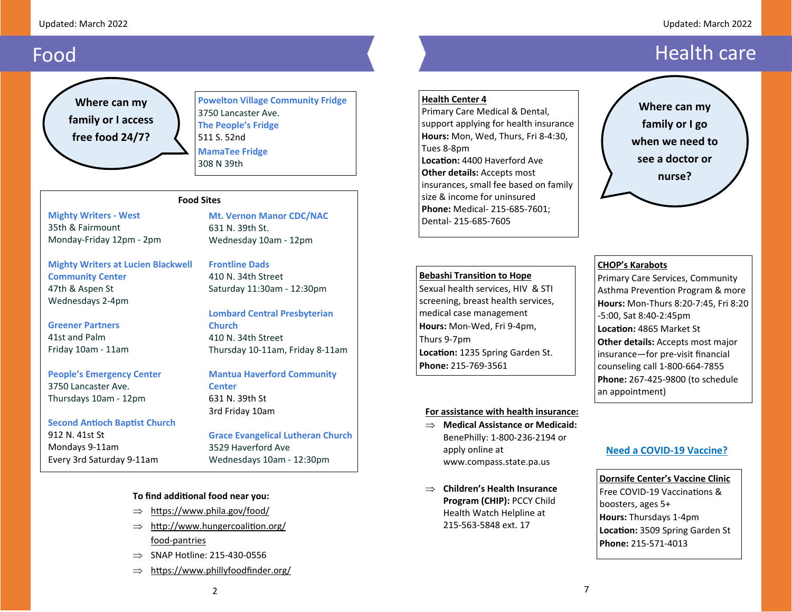#### Updated: March 2022

#### Updated: March 2022

## Food

**Where can my family or I access free food 24/7?** 

**Powelton Village Community Fridge**  3750 Lancaster Ave. **The People's Fridge**  511 S. 52nd **MamaTee Fridge** 308 N 39th

#### **Food Sites**

**Mighty Writers ‐ West**  35th & Fairmount Monday‐Friday 12pm ‐ 2pm

**Mighty Writers at Lucien Blackwell Community Center** 47th & Aspen St Wednesdays 2‐4pm

**Greener Partners**

41st and PalmFriday 10am ‐ 11am

**People's Emergency Center**  3750 Lancaster Ave. Thursdays 10am ‐ 12pm

**Second AnƟoch BapƟst Church**  912 N. 41st St Mondays 9‐11am Every 3rd Saturday 9‐11am

#### **Mt. Vernon Manor CDC/NAC** 631 N. 39th St. Wednesday 10am ‐ 12pm

**Frontline Dads** 410 N. 34th Street

Saturday 11:30am ‐ 12:30pm

**Lombard Central Presbyterian Church** 410 N. 34th Street Thursday 10‐11am, Friday 8‐11am

**Mantua Haverford Community Center** 631 N. 39th St 3rd Friday 10am

#### **Grace Evangelical Lutheran Church** 3529 Haverford Ave Wednesdays 10am ‐ 12:30pm

#### **To find addiƟonal food near you:**

- $\Rightarrow$  https://www.phila.gov/food/
- $\Rightarrow$  http://www.hungercoalition.org/ food‐pantries
- $\Rightarrow$  SNAP Hotline: 215-430-0556
- $\Rightarrow$  https://www.phillyfoodfinder.org/

#### **Health Center 4**

Primary Care Medical & Dental, support applying for health insurance **Hours:** Mon, Wed, Thurs, Fri 8‐4:30, Tues 8‐8pm **LocaƟon:** 4400 Haverford Ave **Other details:** Accepts most insurances, small fee based on family size & income for uninsured **Phone:** Medical‐ 215‐685‐7601; Dental‐ 215‐685‐7605

#### **Bebashi TransiƟon to Hope**

Sexual health services, HIV & STI screening, breast health services, medical case management **Hours:** Mon‐Wed, Fri 9‐4pm, Thurs 9‐7pm **LocaƟon:** 1235 Spring Garden St. **Phone:** 215‐769‐3561

#### **For assistance with health insurance:**

- **Medical Assistance or Medicaid:**  BenePhilly: 1‐800‐236‐2194 or apply online at www.compass.state.pa.us
- **Children's Health Insurance Program (CHIP):** PCCY Child Health Watch Helpline at 215‐563‐5848 ext. 17

## Health care

**Where can my family or I go when we need to see a doctor or** 

**nurse?** 

#### **CHOP's Karabots**

Primary Care Services, Community Asthma Prevention Program & more **Hours:** Mon‐Thurs 8:20‐7:45, Fri 8:20 ‐5:00, Sat 8:40‐2:45pm **LocaƟon:** 4865 Market St **Other details:** Accepts most major insurance—for pre‐visit financial counseling call 1‐800‐664‐7855 **Phone:** 267‐425‐9800 (to schedule an appointment)

#### **Need a COVID‐19 Vaccine?**

**Dornsife Center's Vaccine Clinic** Free COVID‐19 VaccinaƟons &boosters, ages 5+ **Hours:** Thursdays 1‐4pm **LocaƟon:** 3509 Spring Garden St **Phone:** 215‐571‐4013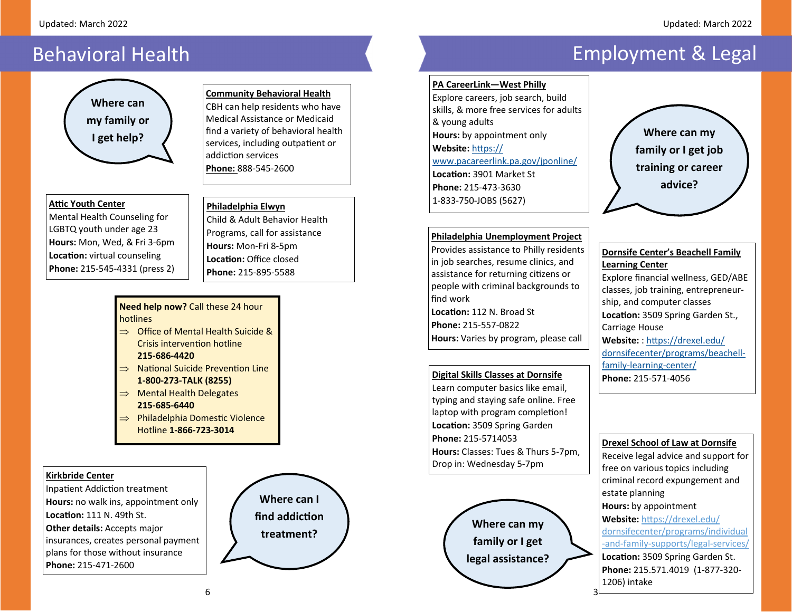## Behavioral Health



#### **Aƫc Youth Center**

Mental Health Counseling for LGBTQ youth under age 23 **Hours:** Mon, Wed, & Fri 3‐6pm **Loca Ɵon:** virtual counseling **Phone:** 215‐545‐4331 (press 2)

#### **Community Behavioral Health** CBH can help residents who have Medical Assistance or Medicaidfind <sup>a</sup> variety of behavioral health services, including outpatient or

addiction services **Phone:** 888‐545‐2600

#### **Philadelphia Elwyn**

Child& Adult Behavior Health Programs, call for assistance **Hours:** Mon‐Fri 8‐5pm **LocaƟon:** Office closed**Phone:** 215‐895‐5588

#### **Need help now?** Call these 24 hour hotlines

- $\Rightarrow$  Office of Mental Health Suicide & Crisis intervention hotline **215‐686‐4420**
- $\Rightarrow$  National Suicide Prevention Line **1‐800‐273‐TALK (8255)**
- $\Rightarrow$  Mental Health Delegates **215‐685‐6440**
- $\implies$  Philadelphia Domestic Violence Hotline **1‐866‐723‐3014**

#### **Kirkbride Center**

Inpatient Addiction treatment **Hours:** no walk ins, appointment only **LocaƟon:** 111 N. 49th St. **Other details:** Accepts major insurances, creates personal payment plans for those without insurance **Phone:** 215‐471‐2600



# Employment & Legal

#### **PA CareerLink—West Philly**

Explore careers, job search, build skills, & more free services for adults & young adults **Hours:** by appointment only **Website:** hƩps:// www.pacareerlink.pa.gov/jponline/ **LocaƟon:** 3901 Market St **Phone:** 215‐473‐36301‐833‐750‐JOBS (5627)



#### **Philadelphia Unemployment Project**

Provides assistance to Philly residents in job searches, resume clinics, and assistance for returning citizens or people with criminal backgrounds to find work **LocaƟon:** 112 N. Broad St **Phone:** 215‐557‐0822**Hours:** Varies by program, please call

#### **Digital Skills Classes at Dornsife**

Learn computer basics like email, typing and staying safe online. Free laptop with program completion! **Loca Ɵon:** 3509 Spring Garden **Phone:** 215‐5714053**Hours:** Classes: Tues& Thurs 5‐7pm, Drop in: Wednesday 5‐7pm



**Learning Center**  Explore financial wellness, GED/ABE classes, job training, entrepreneur‐ ship, and computer classes **Loca Ɵon:** 3509 Spring Garden St., Carriage House **Website:** : hƩps://drexel.edu/ dornsifecenter/programs/beachell‐ family‐learning‐center/

**Dornsife Center's Beachell Family** 

**Phone:** 215‐571‐4056

3

#### **Drexel School of Law at Dornsife**

Receive legal advice and support for free on various topics including criminal record expungement and estate planning **Hours:** by appointment Website: https://drexel.edu/ dornsifecenter/programs/individual ‐and‐family‐supports/legal‐services/ **LocaƟon:** 3509 Spring Garden St. **Phone:** 215.571.4019 (1‐877‐320‐ 1206) intake